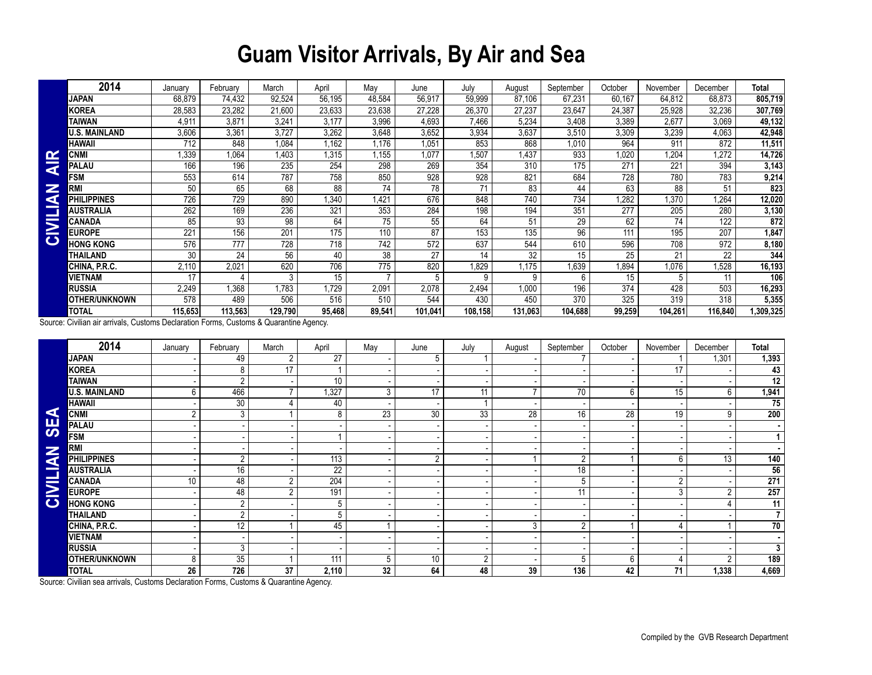## **Guam Visitor Arrivals, By Air and Sea**

|                         | 2014                   | January | February | March   | April  | Mav    | June    | July    | August  | September | October | November | December | <b>Total</b>     |
|-------------------------|------------------------|---------|----------|---------|--------|--------|---------|---------|---------|-----------|---------|----------|----------|------------------|
|                         | JAPAN                  | 68,879  | 74.432   | 92,524  | 56,195 | 48,584 | 56,917  | 59,999  | 87,106  | 67,231    | 60,167  | 64,812   | 68,873   | 805,719          |
|                         | KOREA                  | 28,583  | 23,282   | 21,600  | 23,633 | 23,638 | 27,228  | 26,370  | 27,237  | 23,647    | 24,387  | 25,928   | 32,236   | 307,769          |
|                         | TAIWAN                 | 4,911   | 3,871    | 3,241   | 3,177  | 3,996  | 4,693   | 7,466   | 5,234   | 3,408     | 3,389   | 2,677    | 3,069    | 49,132           |
|                         | J.S. MAINLAND          | 3,606   | 3,361    | 3,727   | 3,262  | 3,648  | 3,652   | 3,934   | 3,637   | 3,510     | 3,309   | 3,239    | 4,063    | 42,948           |
|                         | HAWAII                 | 712     | 848      | 1,084   | 1,162  | 1,176  | 1,051   | 853     | 868     | 1,010     | 964     | 911      | 872      | 11,511           |
| $\mathbf{r}$            | CNMI                   | 1,339   | 1,064    | 1.403   | .315   | 1,155  | 1.077   | 1,507   | 1,437   | 933       | .020    | 1,204    | 1.272    | 14,726           |
| $\overline{\textbf{z}}$ | PALAU                  | 166     | 196      | 235     | 254    | 298    | 269     | 354     | 310     | 175       | 271     | 221      | 394      | 3,143            |
|                         | <b>FSM</b>             | 553     | 614      | 787     | 758    | 850    | 928     | 928     | 821     | 684       | 728     | 780      | 783      | 9,214            |
| Z<br>G                  | <b>RMI</b>             | 50      | 65       | 68      | 88     | 74     | 78      | 71      | 83      | 44        | 63      | 88       | 51       | 823              |
|                         | PHILIPPINES            | 726     | 729      | 890     | .340   | 1,421  | 676     | 848     | 740     | 734       | .282    | .370     | 1,264    | 12,020           |
|                         | AUSTRALIA              | 262     | 169      | 236     | 321    | 353    | 284     | 198     | 194     | 351       | 277     | 205      | 280      | 3,130            |
| $\overline{\bf{z}}$     | CANADA                 | 85      | 93       | 98      | 64     | 75     | 55      | 64      | 51      | 29        | 62      | 74       | 122      | 872              |
|                         | <b>EUROPE</b>          | 221     | 156      | 201     | 175    | 110    | 87      | 153     | 135     | 96        | 111     | 195      | 207      | 1,847            |
| $\mathbf C$             | <b>HONG KONG</b>       | 576     | 777      | 728     | 718    | 742    | 572     | 637     | 544     | 610       | 596     | 708      | 972      | 8,180            |
|                         | <b><i>FHAILAND</i></b> | 30      | 24       | 56      | 40     | 38     | 27      | 14      | 32      | 15        | 25      | 21       | 22       | $3\overline{44}$ |
|                         | CHINA, P.R.C.          | 2,110   | 2,021    | 620     | 706    | 775    | 820     | 1,829   | 1,175   | 1,639     | ,894    | 1,076    | ,528     | 16,193           |
|                         | VIETNAM                | 17      |          | 3       | 15     |        | 5       | 9       | 9       | 6         | 15      | 5        |          | 106              |
|                         | RUSSIA                 | 2,249   | 1,368    | .783    | 1,729  | 2,091  | 2,078   | 2,494   | 1,000   | 196       | 374     | 428      | 503      | 16,293           |
|                         | <b>OTHER/UNKNOWN</b>   | 578     | 489      | 506     | 516    | 510    | 544     | 430     | 450     | 370       | 325     | 319      | 318      | 5,355            |
|                         | TOTAL                  | 115,653 | 113,563  | 129,790 | 95,468 | 89,541 | 101,041 | 108,158 | 131,063 | 104,688   | 99,259  | 104,261  | 116,840  | ,309,325         |

|                                                                                        | <b>CNMI</b>                                                                            | 1,339           | 1,064                    | 1,403           | 1,315            | 1,155           | 1,077            | 1,507        | 1,437           | 933             | 1,020            | 1,204           | 1,272           | 14,726           |
|----------------------------------------------------------------------------------------|----------------------------------------------------------------------------------------|-----------------|--------------------------|-----------------|------------------|-----------------|------------------|--------------|-----------------|-----------------|------------------|-----------------|-----------------|------------------|
| <b>AIR</b>                                                                             | <b>PALAU</b>                                                                           | 166             | 196                      | 235             | 254              | 298             | 269              | 354          | 310             | 175             | 271              | 221             | 394             | 3,143            |
|                                                                                        | <b>FSM</b>                                                                             | 553             | 614                      | 787             | 758              | 850             | 928              | 928          | 821             | 684             | 728              | 780             | 783             | 9,214            |
|                                                                                        | <b>RMI</b>                                                                             | 50              | 65                       | 68              | $\overline{88}$  | 74              | $\overline{78}$  | 71           | 83              | 44              | 63               | 88              | 51              | 823              |
| CIVILIAN                                                                               | <b>PHILIPPINES</b>                                                                     | 726             | 729                      | 890             | 1,340            | 1,421           | 676              | 848          | 740             | 734             | 1,282            | 1,370           | 1,264           | 12,020           |
|                                                                                        | <b>AUSTRALIA</b>                                                                       | 262             | 169                      | 236             | 321              | 353             | 284              | 198          | 194             | 351             | $\overline{277}$ | 205             | 280             | 3,130            |
|                                                                                        | <b>CANADA</b>                                                                          | 85              | $\overline{93}$          | $\overline{98}$ | 64               | 75              | 55               | 64           | 51              | $\overline{29}$ | 62               | $\overline{74}$ | 122             | 872              |
|                                                                                        | <b>EUROPE</b>                                                                          | 221             | 156                      | 201             | 175              | 110             | 87               | 153          | 135             | 96              | 111              | 195             | 207             | 1,847            |
|                                                                                        | <b>HONG KONG</b>                                                                       | 576             | 777                      | 728             | 718              | 742             | $\overline{572}$ | 637          | 544             | 610             | 596              | 708             | 972             | 8,180            |
|                                                                                        | <b>THAILAND</b>                                                                        | 30              | $\overline{24}$          | 56              | 40               | $\overline{38}$ | 27               | 14           | $\overline{32}$ | $\overline{15}$ | 25               | 21              | $\overline{22}$ | 344              |
|                                                                                        | CHINA, P.R.C.                                                                          | 2,110           | 2,021                    | 620             | 706              | 775             | 820              | 1,829        | 1,175           | 1,639           | 1,894            | 1,076           | 1,528           | 16,193           |
|                                                                                        | <b>VIETNAM</b>                                                                         | 17              | 4                        | 3               | 15               |                 | 5                | 9            | 9               | 6               | 15               | 5               | 11              | 106              |
|                                                                                        | <b>RUSSIA</b>                                                                          | 2,249           | 1,368                    | 1.783           | 1,729            | 2,091           | 2,078            | 2,494        | 1,000           | 196             | 374              | 428             | 503             | 16,293           |
|                                                                                        | OTHER/UNKNOWN                                                                          | 578             | 489                      | 506             | 516              | 510             | 544              | 430          | 450             | 370             | 325              | 319             | 318             | 5,355            |
|                                                                                        | <b>TOTAL</b>                                                                           | 115,653         | 113,563                  | 129,790         | 95,468           | 89,541          | 101,041          | 108,158      | 131,063         | 104,688         | 99,259           | 104,261         | 116,840         | 1,309,325        |
| Source: Civilian air arrivals, Customs Declaration Forms, Customs & Quarantine Agency. |                                                                                        |                 |                          |                 |                  |                 |                  |              |                 |                 |                  |                 |                 |                  |
|                                                                                        | 2014                                                                                   | January         | February                 | March           | April            | May             | June             | July         | August          | September       | October          | November        | December        | <b>Total</b>     |
|                                                                                        | <b>JAPAN</b>                                                                           |                 | 49                       | $\overline{2}$  | 27               |                 | 5                |              |                 | $\overline{7}$  |                  | $\mathbf{1}$    | 1,301           | 1,393            |
|                                                                                        | <b>KOREA</b>                                                                           |                 | 8                        | 17              | 1                |                 |                  |              |                 |                 |                  | 17              |                 | 43               |
|                                                                                        | <b>TAIWAN</b>                                                                          |                 | $\overline{2}$           |                 | $\overline{10}$  |                 |                  |              |                 |                 |                  |                 |                 | $\overline{12}$  |
|                                                                                        | <b>U.S. MAINLAND</b>                                                                   | 6               | 466                      | $\overline{7}$  | 1,327            | 3               | 17               | 11           | $\overline{7}$  | 70              | 6                | 15              | 6               | 1,941            |
|                                                                                        | <b>HAWAII</b>                                                                          |                 | 30                       | 4               | 40               |                 |                  | $\mathbf{1}$ |                 |                 |                  |                 |                 | $\overline{75}$  |
| ◀                                                                                      | <b>CNMI</b>                                                                            | $\overline{2}$  | $\overline{3}$           | $\mathbf{1}$    | 8                | 23              | 30               | 33           | $\overline{28}$ | 16              | 28               | 19              | 9               | $\overline{200}$ |
| <b>SE</b>                                                                              | <b>PALAU</b>                                                                           |                 |                          |                 |                  |                 |                  |              |                 |                 |                  |                 |                 |                  |
|                                                                                        | <b>FSM</b>                                                                             |                 |                          |                 | $\mathbf{1}$     |                 |                  |              |                 |                 |                  |                 |                 | $\mathbf{1}$     |
|                                                                                        | <b>RMI</b>                                                                             |                 |                          |                 |                  |                 |                  |              |                 |                 |                  |                 |                 |                  |
|                                                                                        | <b>PHILIPPINES</b>                                                                     |                 | $\overline{2}$           |                 | 113              |                 | $\overline{2}$   |              |                 | $\overline{2}$  |                  | 6               | 13              | $\overline{140}$ |
|                                                                                        | <b>AUSTRALIA</b>                                                                       |                 | $\overline{16}$          |                 | $\overline{22}$  |                 |                  |              |                 | $\overline{18}$ |                  |                 |                 | 56               |
|                                                                                        | CANADA                                                                                 | 10 <sup>1</sup> | 48                       | $\overline{2}$  | 204              |                 |                  |              |                 | 5               |                  | $\overline{2}$  |                 | 271              |
| CIVILIAN                                                                               | <b>EUROPE</b>                                                                          |                 | 48                       | $\overline{2}$  | 191              |                 |                  |              |                 | 11              |                  | 3               | $\overline{2}$  | 257              |
|                                                                                        | <b>HONG KONG</b>                                                                       |                 | $\overline{2}$           |                 | 5                |                 |                  |              |                 |                 |                  |                 |                 | $\overline{11}$  |
|                                                                                        | <b>THAILAND</b>                                                                        |                 | $\overline{2}$           |                 | 5                |                 |                  |              |                 |                 |                  |                 |                 | $\overline{7}$   |
|                                                                                        | CHINA, P.R.C.                                                                          |                 | $\overline{12}$          |                 | 45               |                 |                  |              | 3               | $\overline{2}$  |                  | $\overline{4}$  |                 | $\overline{70}$  |
|                                                                                        | <b>VIETNAM</b>                                                                         |                 | $\overline{\phantom{a}}$ |                 |                  |                 |                  |              |                 |                 |                  |                 |                 |                  |
|                                                                                        | <b>RUSSIA</b>                                                                          |                 | 3                        |                 |                  |                 |                  |              |                 |                 |                  |                 |                 | 3                |
|                                                                                        | <b>OTHER/UNKNOWN</b>                                                                   | 8               | $\overline{35}$          |                 | $\overline{111}$ | 5               | 10               | 2            |                 | 5               | 6                | $\overline{4}$  | 2               | 189              |
|                                                                                        | <b>TOTAL</b>                                                                           | 26              | 726                      | $\overline{37}$ | 2,110            | $\overline{32}$ | 64               | 48           | 39              | 136             | 42               | $\overline{71}$ | 1,338           | 4,669            |
|                                                                                        | Source: Civilian sea arrivals, Customs Declaration Forms, Customs & Quarantine Agency. |                 |                          |                 |                  |                 |                  |              |                 |                 |                  |                 |                 |                  |